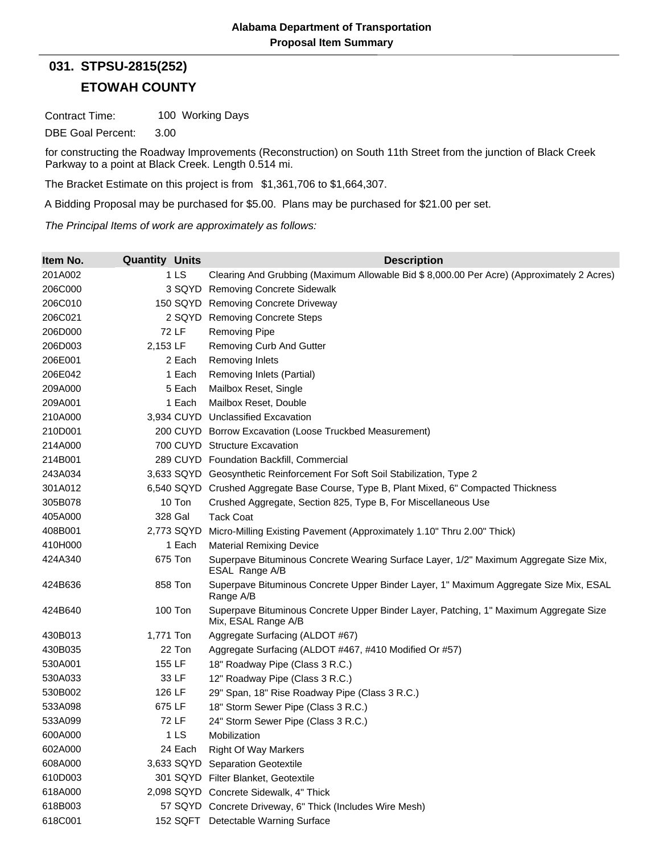## **ETOWAH COUNTY 031. STPSU-2815(252)**

Contract Time: 100 Working Days

DBE Goal Percent: 3.00

for constructing the Roadway Improvements (Reconstruction) on South 11th Street from the junction of Black Creek Parkway to a point at Black Creek. Length 0.514 mi.

The Bracket Estimate on this project is from \$1,361,706 to \$1,664,307.

A Bidding Proposal may be purchased for \$5.00. Plans may be purchased for \$21.00 per set.

*The Principal Items of work are approximately as follows:*

| Item No. | <b>Quantity Units</b> | <b>Description</b>                                                                                           |
|----------|-----------------------|--------------------------------------------------------------------------------------------------------------|
| 201A002  | 1 <sub>LS</sub>       | Clearing And Grubbing (Maximum Allowable Bid \$8,000.00 Per Acre) (Approximately 2 Acres)                    |
| 206C000  |                       | 3 SQYD Removing Concrete Sidewalk                                                                            |
| 206C010  |                       | 150 SQYD Removing Concrete Driveway                                                                          |
| 206C021  |                       | 2 SQYD Removing Concrete Steps                                                                               |
| 206D000  | <b>72 LF</b>          | <b>Removing Pipe</b>                                                                                         |
| 206D003  | 2,153 LF              | Removing Curb And Gutter                                                                                     |
| 206E001  | 2 Each                | <b>Removing Inlets</b>                                                                                       |
| 206E042  | 1 Each                | Removing Inlets (Partial)                                                                                    |
| 209A000  | 5 Each                | Mailbox Reset, Single                                                                                        |
| 209A001  | 1 Each                | Mailbox Reset, Double                                                                                        |
| 210A000  |                       | 3,934 CUYD Unclassified Excavation                                                                           |
| 210D001  |                       | 200 CUYD Borrow Excavation (Loose Truckbed Measurement)                                                      |
| 214A000  |                       | 700 CUYD Structure Excavation                                                                                |
| 214B001  |                       | 289 CUYD Foundation Backfill, Commercial                                                                     |
| 243A034  |                       | 3,633 SQYD Geosynthetic Reinforcement For Soft Soil Stabilization, Type 2                                    |
| 301A012  |                       | 6,540 SQYD Crushed Aggregate Base Course, Type B, Plant Mixed, 6" Compacted Thickness                        |
| 305B078  | 10 Ton                | Crushed Aggregate, Section 825, Type B, For Miscellaneous Use                                                |
| 405A000  | 328 Gal               | <b>Tack Coat</b>                                                                                             |
| 408B001  | 2,773 SQYD            | Micro-Milling Existing Pavement (Approximately 1.10" Thru 2.00" Thick)                                       |
| 410H000  | 1 Each                | <b>Material Remixing Device</b>                                                                              |
| 424A340  | 675 Ton               | Superpave Bituminous Concrete Wearing Surface Layer, 1/2" Maximum Aggregate Size Mix,<br>ESAL Range A/B      |
| 424B636  | 858 Ton               | Superpave Bituminous Concrete Upper Binder Layer, 1" Maximum Aggregate Size Mix, ESAL<br>Range A/B           |
| 424B640  | <b>100 Ton</b>        | Superpave Bituminous Concrete Upper Binder Layer, Patching, 1" Maximum Aggregate Size<br>Mix, ESAL Range A/B |
| 430B013  | 1,771 Ton             | Aggregate Surfacing (ALDOT #67)                                                                              |
| 430B035  | 22 Ton                | Aggregate Surfacing (ALDOT #467, #410 Modified Or #57)                                                       |
| 530A001  | 155 LF                | 18" Roadway Pipe (Class 3 R.C.)                                                                              |
| 530A033  | 33 LF                 | 12" Roadway Pipe (Class 3 R.C.)                                                                              |
| 530B002  | 126 LF                | 29" Span, 18" Rise Roadway Pipe (Class 3 R.C.)                                                               |
| 533A098  | 675 LF                | 18" Storm Sewer Pipe (Class 3 R.C.)                                                                          |
| 533A099  | 72 LF                 | 24" Storm Sewer Pipe (Class 3 R.C.)                                                                          |
| 600A000  | 1 LS                  | Mobilization                                                                                                 |
| 602A000  | 24 Each               | <b>Right Of Way Markers</b>                                                                                  |
| 608A000  |                       | 3,633 SQYD Separation Geotextile                                                                             |
| 610D003  |                       | 301 SQYD Filter Blanket, Geotextile                                                                          |
| 618A000  |                       | 2,098 SQYD Concrete Sidewalk, 4" Thick                                                                       |
| 618B003  |                       | 57 SQYD Concrete Driveway, 6" Thick (Includes Wire Mesh)                                                     |
| 618C001  |                       | 152 SQFT Detectable Warning Surface                                                                          |